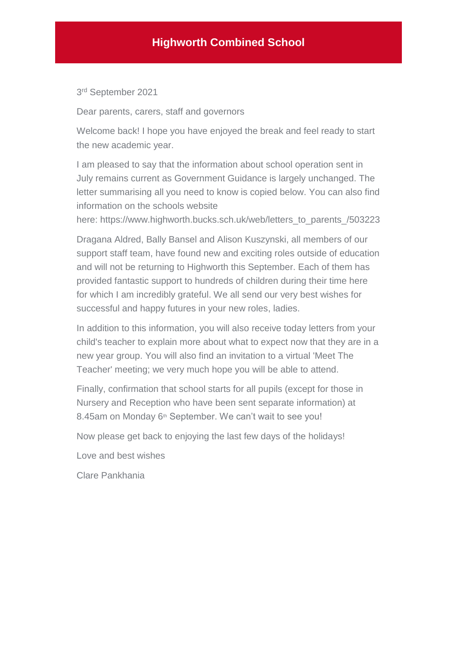3<sup>rd</sup> September 2021

Dear parents, carers, staff and governors

Welcome back! I hope you have enjoyed the break and feel ready to start the new academic year.

I am pleased to say that the information about school operation sent in July remains current as Government Guidance is largely unchanged. The letter summarising all you need to know is copied below. You can also find information on the schools website

here: https://www.highworth.bucks.sch.uk/web/letters\_to\_parents\_/503223

Dragana Aldred, Bally Bansel and Alison Kuszynski, all members of our support staff team, have found new and exciting roles outside of education and will not be returning to Highworth this September. Each of them has provided fantastic support to hundreds of children during their time here for which I am incredibly grateful. We all send our very best wishes for successful and happy futures in your new roles, ladies.

In addition to this information, you will also receive today letters from your child's teacher to explain more about what to expect now that they are in a new year group. You will also find an invitation to a virtual 'Meet The Teacher' meeting; we very much hope you will be able to attend.

Finally, confirmation that school starts for all pupils (except for those in Nursery and Reception who have been sent separate information) at 8.45am on Monday  $6<sup>th</sup>$  September. We can't wait to see you!

Now please get back to enjoying the last few days of the holidays!

Love and best wishes

Clare Pankhania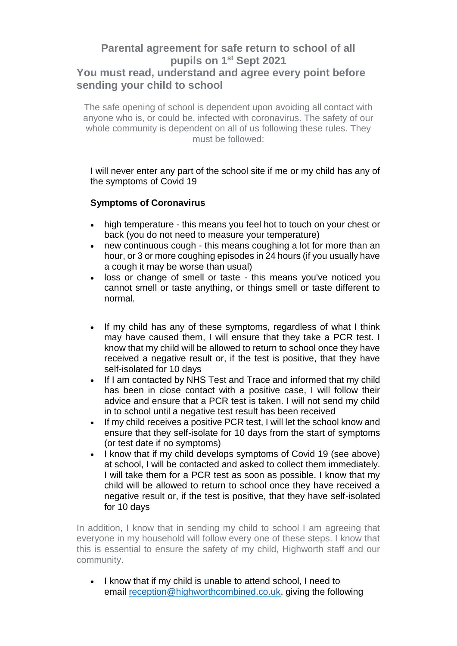## **Parental agreement for safe return to school of all pupils on 1st Sept 2021 You must read, understand and agree every point before sending your child to school**

The safe opening of school is dependent upon avoiding all contact with anyone who is, or could be, infected with coronavirus. The safety of our whole community is dependent on all of us following these rules. They must be followed:

I will never enter any part of the school site if me or my child has any of the symptoms of Covid 19

## **Symptoms of Coronavirus**

- high temperature this means you feel hot to touch on your chest or back (you do not need to measure your temperature)
- new continuous cough this means coughing a lot for more than an hour, or 3 or more coughing episodes in 24 hours (if you usually have a cough it may be worse than usual)
- loss or change of smell or taste this means you've noticed you cannot smell or taste anything, or things smell or taste different to normal.
- If my child has any of these symptoms, regardless of what I think may have caused them, I will ensure that they take a PCR test. I know that my child will be allowed to return to school once they have received a negative result or, if the test is positive, that they have self-isolated for 10 days
- If I am contacted by NHS Test and Trace and informed that my child has been in close contact with a positive case, I will follow their advice and ensure that a PCR test is taken. I will not send my child in to school until a negative test result has been received
- If my child receives a positive PCR test, I will let the school know and ensure that they self-isolate for 10 days from the start of symptoms (or test date if no symptoms)
- I know that if my child develops symptoms of Covid 19 (see above) at school, I will be contacted and asked to collect them immediately. I will take them for a PCR test as soon as possible. I know that my child will be allowed to return to school once they have received a negative result or, if the test is positive, that they have self-isolated for 10 days

In addition, I know that in sending my child to school I am agreeing that everyone in my household will follow every one of these steps. I know that this is essential to ensure the safety of my child, Highworth staff and our community.

• I know that if my child is unable to attend school, I need to email [reception@highworthcombined.co.uk,](mailto:reception@highworthcombined.co.uk) giving the following